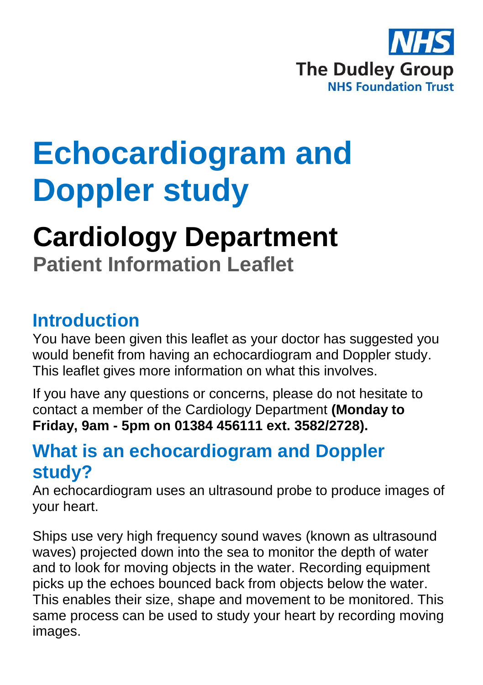

# **Echocardiogram and Doppler study**

## **Cardiology Department Patient Information Leaflet**

#### **Introduction**

You have been given this leaflet as your doctor has suggested you would benefit from having an echocardiogram and Doppler study. This leaflet gives more information on what this involves.

If you have any questions or concerns, please do not hesitate to contact a member of the Cardiology Department **(Monday to Friday, 9am - 5pm on 01384 456111 ext. 3582/2728).**

#### **What is an echocardiogram and Doppler study?**

An echocardiogram uses an ultrasound probe to produce images of your heart.

Ships use very high frequency sound waves (known as ultrasound waves) projected down into the sea to monitor the depth of water and to look for moving objects in the water. Recording equipment picks up the echoes bounced back from objects below the water. This enables their size, shape and movement to be monitored. This same process can be used to study your heart by recording moving images.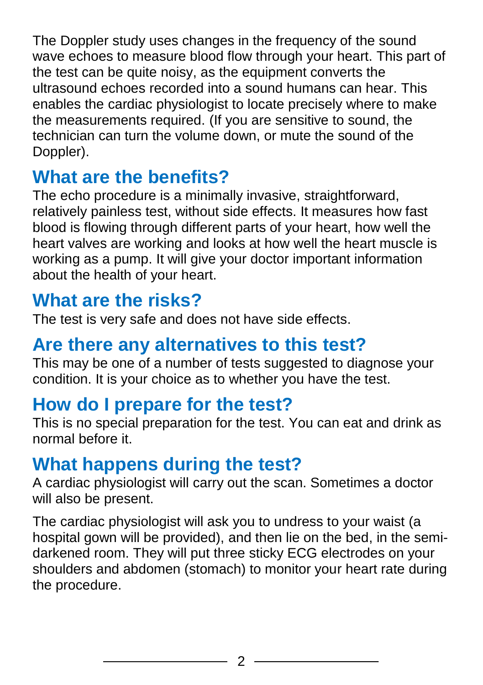The Doppler study uses changes in the frequency of the sound wave echoes to measure blood flow through your heart. This part of the test can be quite noisy, as the equipment converts the ultrasound echoes recorded into a sound humans can hear. This enables the cardiac physiologist to locate precisely where to make the measurements required. (If you are sensitive to sound, the technician can turn the volume down, or mute the sound of the Doppler).

## **What are the benefits?**

The echo procedure is a minimally invasive, straightforward, relatively painless test, without side effects. It measures how fast blood is flowing through different parts of your heart, how well the heart valves are working and looks at how well the heart muscle is working as a pump. It will give your doctor important information about the health of your heart.

### **What are the risks?**

The test is very safe and does not have side effects.

#### **Are there any alternatives to this test?**

This may be one of a number of tests suggested to diagnose your condition. It is your choice as to whether you have the test.

### **How do I prepare for the test?**

This is no special preparation for the test. You can eat and drink as normal before it.

### **What happens during the test?**

A cardiac physiologist will carry out the scan. Sometimes a doctor will also be present.

The cardiac physiologist will ask you to undress to your waist (a hospital gown will be provided), and then lie on the bed, in the semidarkened room. They will put three sticky ECG electrodes on your shoulders and abdomen (stomach) to monitor your heart rate during the procedure.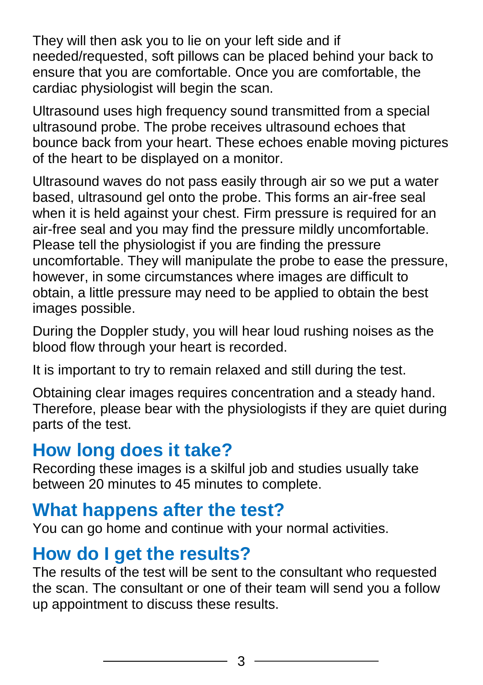They will then ask you to lie on your left side and if needed/requested, soft pillows can be placed behind your back to ensure that you are comfortable. Once you are comfortable, the cardiac physiologist will begin the scan.

Ultrasound uses high frequency sound transmitted from a special ultrasound probe. The probe receives ultrasound echoes that bounce back from your heart. These echoes enable moving pictures of the heart to be displayed on a monitor.

Ultrasound waves do not pass easily through air so we put a water based, ultrasound gel onto the probe. This forms an air-free seal when it is held against your chest. Firm pressure is required for an air-free seal and you may find the pressure mildly uncomfortable. Please tell the physiologist if you are finding the pressure uncomfortable. They will manipulate the probe to ease the pressure, however, in some circumstances where images are difficult to obtain, a little pressure may need to be applied to obtain the best images possible.

During the Doppler study, you will hear loud rushing noises as the blood flow through your heart is recorded.

It is important to try to remain relaxed and still during the test.

Obtaining clear images requires concentration and a steady hand. Therefore, please bear with the physiologists if they are quiet during parts of the test.

### **How long does it take?**

Recording these images is a skilful job and studies usually take between 20 minutes to 45 minutes to complete.

#### **What happens after the test?**

You can go home and continue with your normal activities.

### **How do I get the results?**

The results of the test will be sent to the consultant who requested the scan. The consultant or one of their team will send you a follow up appointment to discuss these results.